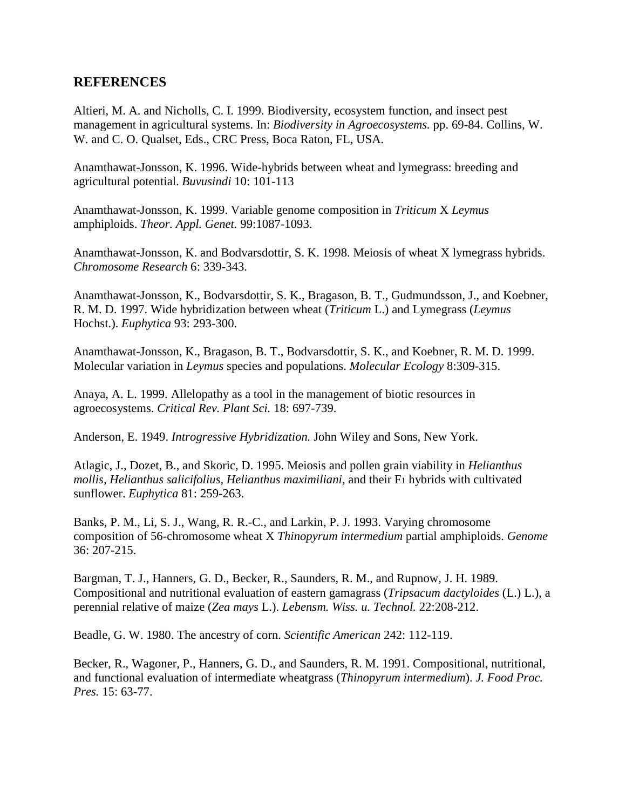## **REFERENCES**

Altieri, M. A. and Nicholls, C. I. 1999. Biodiversity, ecosystem function, and insect pest management in agricultural systems. In: *Biodiversity in Agroecosystems.* pp. 69-84. Collins, W. W. and C. O. Qualset, Eds., CRC Press, Boca Raton, FL, USA.

Anamthawat-Jonsson, K. 1996. Wide-hybrids between wheat and lymegrass: breeding and agricultural potential. *Buvusindi* 10: 101-113

Anamthawat-Jonsson, K. 1999. Variable genome composition in *Triticum* X *Leymus* amphiploids. *Theor. Appl. Genet.* 99:1087-1093.

Anamthawat-Jonsson, K. and Bodvarsdottir, S. K. 1998. Meiosis of wheat X lymegrass hybrids. *Chromosome Research* 6: 339-343.

Anamthawat-Jonsson, K., Bodvarsdottir, S. K., Bragason, B. T., Gudmundsson, J., and Koebner, R. M. D. 1997. Wide hybridization between wheat (*Triticum* L.) and Lymegrass (*Leymus* Hochst.). *Euphytica* 93: 293-300.

Anamthawat-Jonsson, K., Bragason, B. T., Bodvarsdottir, S. K., and Koebner, R. M. D. 1999. Molecular variation in *Leymus* species and populations. *Molecular Ecology* 8:309-315.

Anaya, A. L. 1999. Allelopathy as a tool in the management of biotic resources in agroecosystems. *Critical Rev. Plant Sci.* 18: 697-739.

Anderson, E. 1949. *Introgressive Hybridization.* John Wiley and Sons, New York.

Atlagic, J., Dozet, B., and Skoric, D. 1995. Meiosis and pollen grain viability in *Helianthus mollis, Helianthus salicifolius, Helianthus maximiliani,* and their F1 hybrids with cultivated sunflower. *Euphytica* 81: 259-263.

Banks, P. M., Li, S. J., Wang, R. R.-C., and Larkin, P. J. 1993. Varying chromosome composition of 56-chromosome wheat X *Thinopyrum intermedium* partial amphiploids. *Genome* 36: 207-215.

Bargman, T. J., Hanners, G. D., Becker, R., Saunders, R. M., and Rupnow, J. H. 1989. Compositional and nutritional evaluation of eastern gamagrass (*Tripsacum dactyloides* (L.) L.), a perennial relative of maize (*Zea mays* L.). *Lebensm. Wiss. u. Technol.* 22:208-212.

Beadle, G. W. 1980. The ancestry of corn. *Scientific American* 242: 112-119.

Becker, R., Wagoner, P., Hanners, G. D., and Saunders, R. M. 1991. Compositional, nutritional, and functional evaluation of intermediate wheatgrass (*Thinopyrum intermedium*). *J. Food Proc. Pres.* 15: 63-77.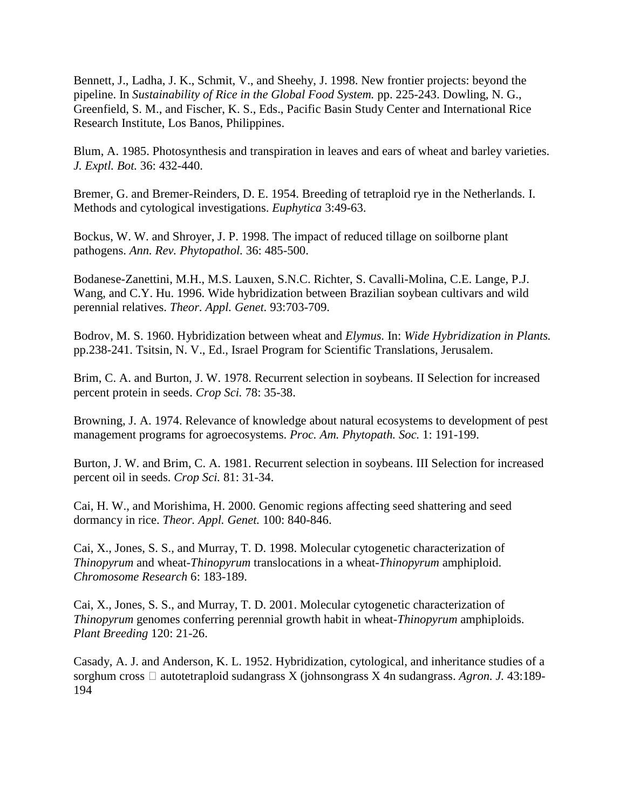Bennett, J., Ladha, J. K., Schmit, V., and Sheehy, J. 1998. New frontier projects: beyond the pipeline. In *Sustainability of Rice in the Global Food System.* pp. 225-243. Dowling, N. G., Greenfield, S. M., and Fischer, K. S., Eds., Pacific Basin Study Center and International Rice Research Institute, Los Banos, Philippines.

Blum, A. 1985. Photosynthesis and transpiration in leaves and ears of wheat and barley varieties. *J. Exptl. Bot.* 36: 432-440.

Bremer, G. and Bremer-Reinders, D. E. 1954. Breeding of tetraploid rye in the Netherlands. I. Methods and cytological investigations. *Euphytica* 3:49-63.

Bockus, W. W. and Shroyer, J. P. 1998. The impact of reduced tillage on soilborne plant pathogens. *Ann. Rev. Phytopathol.* 36: 485-500.

Bodanese-Zanettini, M.H., M.S. Lauxen, S.N.C. Richter, S. Cavalli-Molina, C.E. Lange, P.J. Wang, and C.Y. Hu. 1996. Wide hybridization between Brazilian soybean cultivars and wild perennial relatives. *Theor. Appl. Genet.* 93:703-709.

Bodrov, M. S. 1960. Hybridization between wheat and *Elymus.* In: *Wide Hybridization in Plants.* pp.238-241. Tsitsin, N. V., Ed., Israel Program for Scientific Translations, Jerusalem.

Brim, C. A. and Burton, J. W. 1978. Recurrent selection in soybeans. II Selection for increased percent protein in seeds. *Crop Sci.* 78: 35-38.

Browning, J. A. 1974. Relevance of knowledge about natural ecosystems to development of pest management programs for agroecosystems. *Proc. Am. Phytopath. Soc.* 1: 191-199.

Burton, J. W. and Brim, C. A. 1981. Recurrent selection in soybeans. III Selection for increased percent oil in seeds. *Crop Sci.* 81: 31-34.

Cai, H. W., and Morishima, H. 2000. Genomic regions affecting seed shattering and seed dormancy in rice. *Theor. Appl. Genet.* 100: 840-846.

Cai, X., Jones, S. S., and Murray, T. D. 1998. Molecular cytogenetic characterization of *Thinopyrum* and wheat-*Thinopyrum* translocations in a wheat-*Thinopyrum* amphiploid. *Chromosome Research* 6: 183-189.

Cai, X., Jones, S. S., and Murray, T. D. 2001. Molecular cytogenetic characterization of *Thinopyrum* genomes conferring perennial growth habit in wheat-*Thinopyrum* amphiploids. *Plant Breeding* 120: 21-26.

Casady, A. J. and Anderson, K. L. 1952. Hybridization, cytological, and inheritance studies of a sorghum cross  $\Box$  autotetraploid sudangrass X (johnsongrass X 4n sudangrass. *Agron. J.* 43:189-194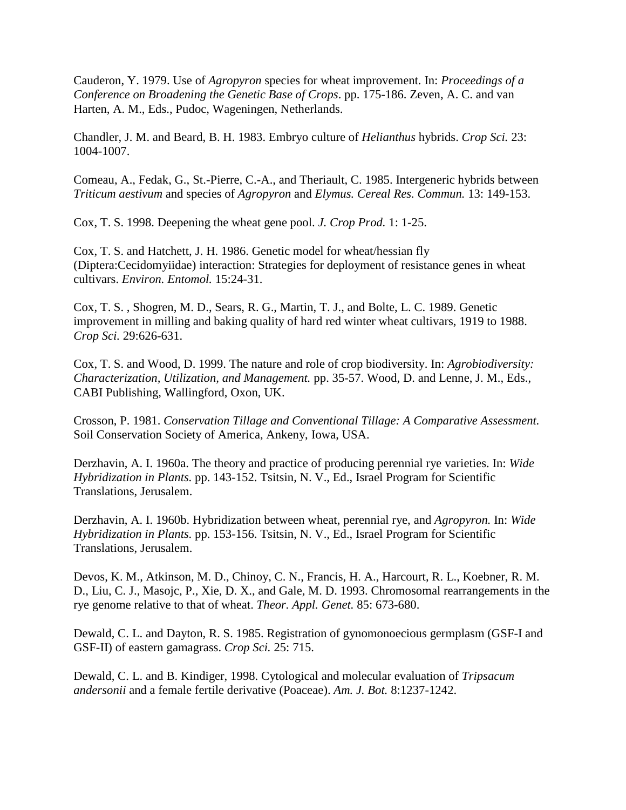Cauderon, Y. 1979. Use of *Agropyron* species for wheat improvement. In: *Proceedings of a Conference on Broadening the Genetic Base of Crops*. pp. 175-186. Zeven, A. C. and van Harten, A. M., Eds., Pudoc, Wageningen, Netherlands.

Chandler, J. M. and Beard, B. H. 1983. Embryo culture of *Helianthus* hybrids. *Crop Sci.* 23: 1004-1007.

Comeau, A., Fedak, G., St.-Pierre, C.-A., and Theriault, C. 1985. Intergeneric hybrids between *Triticum aestivum* and species of *Agropyron* and *Elymus. Cereal Res. Commun.* 13: 149-153.

Cox, T. S. 1998. Deepening the wheat gene pool. *J. Crop Prod.* 1: 1-25.

Cox, T. S. and Hatchett, J. H. 1986. Genetic model for wheat/hessian fly (Diptera:Cecidomyiidae) interaction: Strategies for deployment of resistance genes in wheat cultivars. *Environ. Entomol.* 15:24-31.

Cox, T. S. , Shogren, M. D., Sears, R. G., Martin, T. J., and Bolte, L. C. 1989. Genetic improvement in milling and baking quality of hard red winter wheat cultivars, 1919 to 1988. *Crop Sci.* 29:626-631.

Cox, T. S. and Wood, D. 1999. The nature and role of crop biodiversity. In: *Agrobiodiversity: Characterization, Utilization, and Management.* pp. 35-57. Wood, D. and Lenne, J. M., Eds., CABI Publishing, Wallingford, Oxon, UK.

Crosson, P. 1981. *Conservation Tillage and Conventional Tillage: A Comparative Assessment.* Soil Conservation Society of America, Ankeny, Iowa, USA.

Derzhavin, A. I. 1960a. The theory and practice of producing perennial rye varieties. In: *Wide Hybridization in Plants.* pp. 143-152. Tsitsin, N. V., Ed., Israel Program for Scientific Translations, Jerusalem.

Derzhavin, A. I. 1960b. Hybridization between wheat, perennial rye, and *Agropyron.* In: *Wide Hybridization in Plants.* pp. 153-156. Tsitsin, N. V., Ed., Israel Program for Scientific Translations, Jerusalem.

Devos, K. M., Atkinson, M. D., Chinoy, C. N., Francis, H. A., Harcourt, R. L., Koebner, R. M. D., Liu, C. J., Masojc, P., Xie, D. X., and Gale, M. D. 1993. Chromosomal rearrangements in the rye genome relative to that of wheat. *Theor. Appl. Genet.* 85: 673-680.

Dewald, C. L. and Dayton, R. S. 1985. Registration of gynomonoecious germplasm (GSF-I and GSF-II) of eastern gamagrass. *Crop Sci.* 25: 715.

Dewald, C. L. and B. Kindiger, 1998. Cytological and molecular evaluation of *Tripsacum andersonii* and a female fertile derivative (Poaceae). *Am. J. Bot.* 8:1237-1242.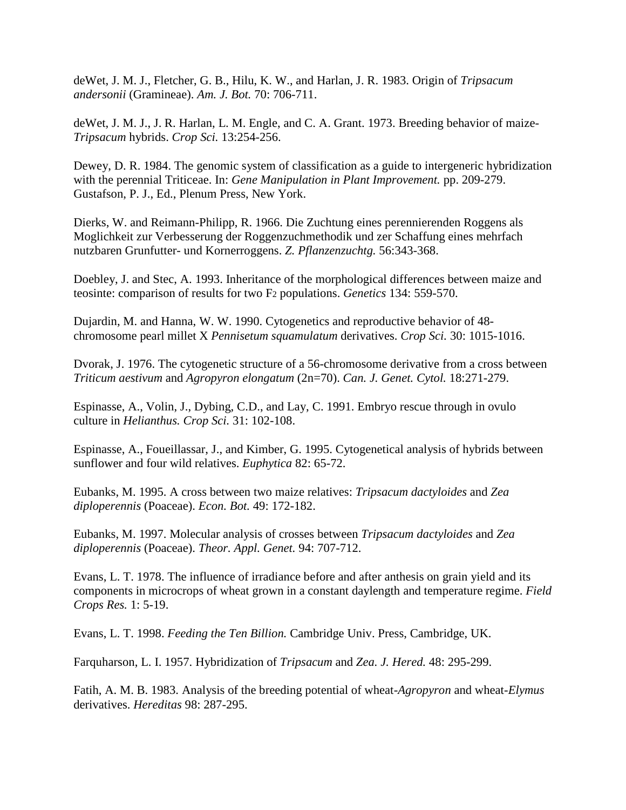deWet, J. M. J., Fletcher, G. B., Hilu, K. W., and Harlan, J. R. 1983. Origin of *Tripsacum andersonii* (Gramineae). *Am. J. Bot.* 70: 706-711.

deWet, J. M. J., J. R. Harlan, L. M. Engle, and C. A. Grant. 1973. Breeding behavior of maize-*Tripsacum* hybrids. *Crop Sci.* 13:254-256.

Dewey, D. R. 1984. The genomic system of classification as a guide to intergeneric hybridization with the perennial Triticeae. In: *Gene Manipulation in Plant Improvement.* pp. 209-279. Gustafson, P. J., Ed., Plenum Press, New York.

Dierks, W. and Reimann-Philipp, R. 1966. Die Zuchtung eines perennierenden Roggens als Moglichkeit zur Verbesserung der Roggenzuchmethodik und zer Schaffung eines mehrfach nutzbaren Grunfutter- und Kornerroggens. *Z. Pflanzenzuchtg.* 56:343-368.

Doebley, J. and Stec, A. 1993. Inheritance of the morphological differences between maize and teosinte: comparison of results for two F2 populations. *Genetics* 134: 559-570.

Dujardin, M. and Hanna, W. W. 1990. Cytogenetics and reproductive behavior of 48 chromosome pearl millet X *Pennisetum squamulatum* derivatives. *Crop Sci.* 30: 1015-1016.

Dvorak, J. 1976. The cytogenetic structure of a 56-chromosome derivative from a cross between *Triticum aestivum* and *Agropyron elongatum* (2n=70). *Can. J. Genet. Cytol.* 18:271-279.

Espinasse, A., Volin, J., Dybing, C.D., and Lay, C. 1991. Embryo rescue through in ovulo culture in *Helianthus. Crop Sci.* 31: 102-108.

Espinasse, A., Foueillassar, J., and Kimber, G. 1995. Cytogenetical analysis of hybrids between sunflower and four wild relatives. *Euphytica* 82: 65-72.

Eubanks, M. 1995. A cross between two maize relatives: *Tripsacum dactyloides* and *Zea diploperennis* (Poaceae). *Econ. Bot.* 49: 172-182.

Eubanks, M. 1997. Molecular analysis of crosses between *Tripsacum dactyloides* and *Zea diploperennis* (Poaceae). *Theor. Appl. Genet.* 94: 707-712.

Evans, L. T. 1978. The influence of irradiance before and after anthesis on grain yield and its components in microcrops of wheat grown in a constant daylength and temperature regime. *Field Crops Res.* 1: 5-19.

Evans, L. T. 1998. *Feeding the Ten Billion.* Cambridge Univ. Press, Cambridge, UK.

Farquharson, L. I. 1957. Hybridization of *Tripsacum* and *Zea. J. Hered.* 48: 295-299.

Fatih, A. M. B. 1983. Analysis of the breeding potential of wheat-*Agropyron* and wheat-*Elymus* derivatives. *Hereditas* 98: 287-295.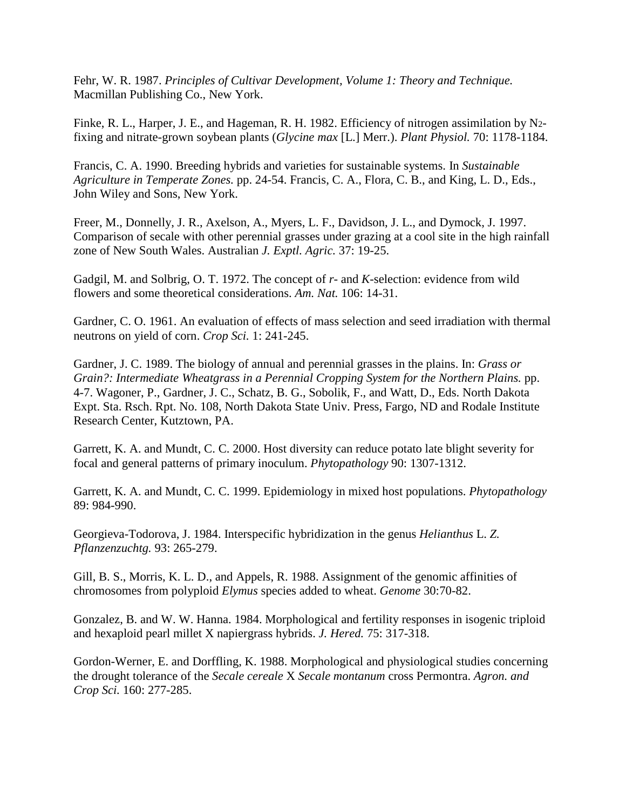Fehr, W. R. 1987. *Principles of Cultivar Development, Volume 1: Theory and Technique.* Macmillan Publishing Co., New York.

Finke, R. L., Harper, J. E., and Hageman, R. H. 1982. Efficiency of nitrogen assimilation by N2 fixing and nitrate-grown soybean plants (*Glycine max* [L.] Merr.). *Plant Physiol.* 70: 1178-1184.

Francis, C. A. 1990. Breeding hybrids and varieties for sustainable systems. In *Sustainable Agriculture in Temperate Zones.* pp. 24-54. Francis, C. A., Flora, C. B., and King, L. D., Eds., John Wiley and Sons, New York.

Freer, M., Donnelly, J. R., Axelson, A., Myers, L. F., Davidson, J. L., and Dymock, J. 1997. Comparison of secale with other perennial grasses under grazing at a cool site in the high rainfall zone of New South Wales. Australian *J. Exptl. Agric.* 37: 19-25.

Gadgil, M. and Solbrig, O. T. 1972. The concept of *r*- and *K*-selection: evidence from wild flowers and some theoretical considerations. *Am. Nat.* 106: 14-31.

Gardner, C. O. 1961. An evaluation of effects of mass selection and seed irradiation with thermal neutrons on yield of corn. *Crop Sci.* 1: 241-245.

Gardner, J. C. 1989. The biology of annual and perennial grasses in the plains. In: *Grass or Grain?: Intermediate Wheatgrass in a Perennial Cropping System for the Northern Plains.* pp. 4-7. Wagoner, P., Gardner, J. C., Schatz, B. G., Sobolik, F., and Watt, D., Eds. North Dakota Expt. Sta. Rsch. Rpt. No. 108, North Dakota State Univ. Press, Fargo, ND and Rodale Institute Research Center, Kutztown, PA.

Garrett, K. A. and Mundt, C. C. 2000. Host diversity can reduce potato late blight severity for focal and general patterns of primary inoculum. *Phytopathology* 90: 1307-1312.

Garrett, K. A. and Mundt, C. C. 1999. Epidemiology in mixed host populations. *Phytopathology* 89: 984-990.

Georgieva-Todorova, J. 1984. Interspecific hybridization in the genus *Helianthus* L. *Z. Pflanzenzuchtg.* 93: 265-279.

Gill, B. S., Morris, K. L. D., and Appels, R. 1988. Assignment of the genomic affinities of chromosomes from polyploid *Elymus* species added to wheat. *Genome* 30:70-82.

Gonzalez, B. and W. W. Hanna. 1984. Morphological and fertility responses in isogenic triploid and hexaploid pearl millet X napiergrass hybrids. *J. Hered.* 75: 317-318.

Gordon-Werner, E. and Dorffling, K. 1988. Morphological and physiological studies concerning the drought tolerance of the *Secale cereale* X *Secale montanum* cross Permontra. *Agron. and Crop Sci.* 160: 277-285.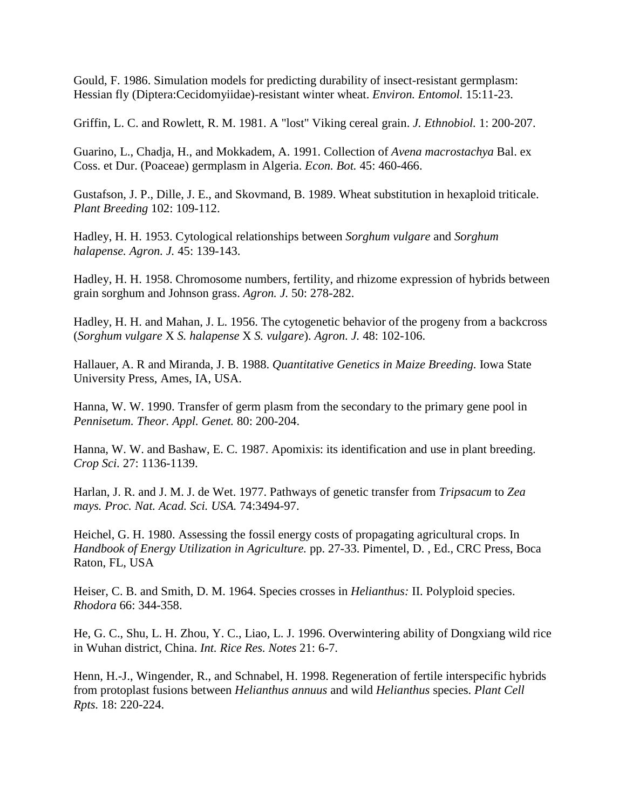Gould, F. 1986. Simulation models for predicting durability of insect-resistant germplasm: Hessian fly (Diptera:Cecidomyiidae)-resistant winter wheat. *Environ. Entomol.* 15:11-23.

Griffin, L. C. and Rowlett, R. M. 1981. A "lost" Viking cereal grain. *J. Ethnobiol.* 1: 200-207.

Guarino, L., Chadja, H., and Mokkadem, A. 1991. Collection of *Avena macrostachya* Bal. ex Coss. et Dur. (Poaceae) germplasm in Algeria. *Econ. Bot.* 45: 460-466.

Gustafson, J. P., Dille, J. E., and Skovmand, B. 1989. Wheat substitution in hexaploid triticale. *Plant Breeding* 102: 109-112.

Hadley, H. H. 1953. Cytological relationships between *Sorghum vulgare* and *Sorghum halapense. Agron. J.* 45: 139-143.

Hadley, H. H. 1958. Chromosome numbers, fertility, and rhizome expression of hybrids between grain sorghum and Johnson grass. *Agron. J.* 50: 278-282.

Hadley, H. H. and Mahan, J. L. 1956. The cytogenetic behavior of the progeny from a backcross (*Sorghum vulgare* X *S. halapense* X *S. vulgare*). *Agron. J.* 48: 102-106.

Hallauer, A. R and Miranda, J. B. 1988. *Quantitative Genetics in Maize Breeding.* Iowa State University Press, Ames, IA, USA.

Hanna, W. W. 1990. Transfer of germ plasm from the secondary to the primary gene pool in *Pennisetum. Theor. Appl. Genet.* 80: 200-204.

Hanna, W. W. and Bashaw, E. C. 1987. Apomixis: its identification and use in plant breeding. *Crop Sci.* 27: 1136-1139.

Harlan, J. R. and J. M. J. de Wet. 1977. Pathways of genetic transfer from *Tripsacum* to *Zea mays. Proc. Nat. Acad. Sci. USA.* 74:3494-97.

Heichel, G. H. 1980. Assessing the fossil energy costs of propagating agricultural crops. In *Handbook of Energy Utilization in Agriculture.* pp. 27-33. Pimentel, D. , Ed., CRC Press, Boca Raton, FL, USA

Heiser, C. B. and Smith, D. M. 1964. Species crosses in *Helianthus:* II. Polyploid species. *Rhodora* 66: 344-358.

He, G. C., Shu, L. H. Zhou, Y. C., Liao, L. J. 1996. Overwintering ability of Dongxiang wild rice in Wuhan district, China. *Int. Rice Res. Notes* 21: 6-7.

Henn, H.-J., Wingender, R., and Schnabel, H. 1998. Regeneration of fertile interspecific hybrids from protoplast fusions between *Helianthus annuus* and wild *Helianthus* species. *Plant Cell Rpts.* 18: 220-224.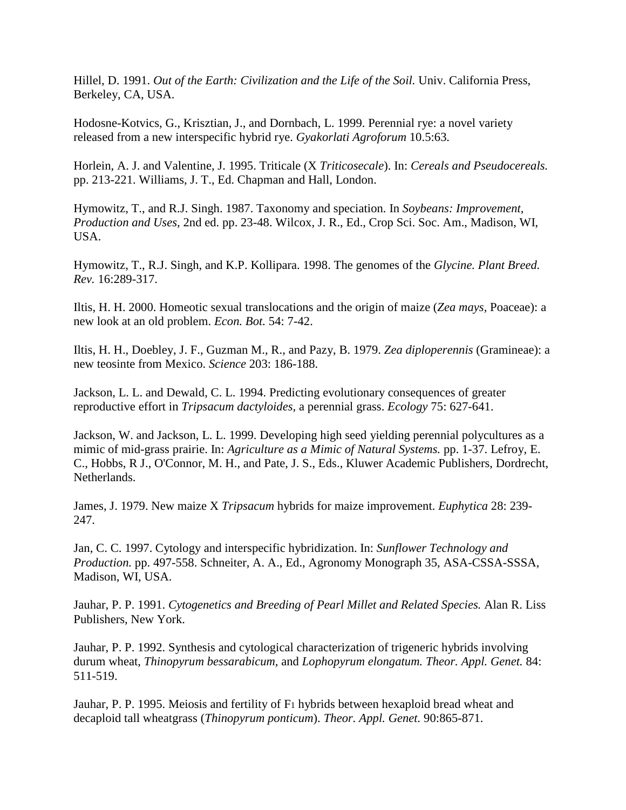Hillel, D. 1991. *Out of the Earth: Civilization and the Life of the Soil.* Univ. California Press, Berkeley, CA, USA.

Hodosne-Kotvics, G., Krisztian, J., and Dornbach, L. 1999. Perennial rye: a novel variety released from a new interspecific hybrid rye. *Gyakorlati Agroforum* 10.5:63.

Horlein, A. J. and Valentine, J. 1995. Triticale (X *Triticosecale*). In: *Cereals and Pseudocereals.* pp. 213-221. Williams, J. T., Ed. Chapman and Hall, London.

Hymowitz, T., and R.J. Singh. 1987. Taxonomy and speciation. In *Soybeans: Improvement, Production and Uses,* 2nd ed. pp. 23-48. Wilcox, J. R., Ed., Crop Sci. Soc. Am., Madison, WI, USA.

Hymowitz, T., R.J. Singh, and K.P. Kollipara. 1998. The genomes of the *Glycine. Plant Breed. Rev.* 16:289-317.

Iltis, H. H. 2000. Homeotic sexual translocations and the origin of maize (*Zea mays,* Poaceae): a new look at an old problem. *Econ. Bot.* 54: 7-42.

Iltis, H. H., Doebley, J. F., Guzman M., R., and Pazy, B. 1979. *Zea diploperennis* (Gramineae): a new teosinte from Mexico. *Science* 203: 186-188.

Jackson, L. L. and Dewald, C. L. 1994. Predicting evolutionary consequences of greater reproductive effort in *Tripsacum dactyloides,* a perennial grass. *Ecology* 75: 627-641.

Jackson, W. and Jackson, L. L. 1999. Developing high seed yielding perennial polycultures as a mimic of mid-grass prairie. In: *Agriculture as a Mimic of Natural Systems.* pp. 1-37. Lefroy, E. C., Hobbs, R J., O'Connor, M. H., and Pate, J. S., Eds., Kluwer Academic Publishers, Dordrecht, Netherlands.

James, J. 1979. New maize X *Tripsacum* hybrids for maize improvement. *Euphytica* 28: 239- 247.

Jan, C. C. 1997. Cytology and interspecific hybridization. In: *Sunflower Technology and Production.* pp. 497-558. Schneiter, A. A., Ed., Agronomy Monograph 35, ASA-CSSA-SSSA, Madison, WI, USA.

Jauhar, P. P. 1991. *Cytogenetics and Breeding of Pearl Millet and Related Species.* Alan R. Liss Publishers, New York.

Jauhar, P. P. 1992. Synthesis and cytological characterization of trigeneric hybrids involving durum wheat, *Thinopyrum bessarabicum,* and *Lophopyrum elongatum. Theor. Appl. Genet.* 84: 511-519.

Jauhar, P. P. 1995. Meiosis and fertility of F1 hybrids between hexaploid bread wheat and decaploid tall wheatgrass (*Thinopyrum ponticum*). *Theor. Appl. Genet.* 90:865-871.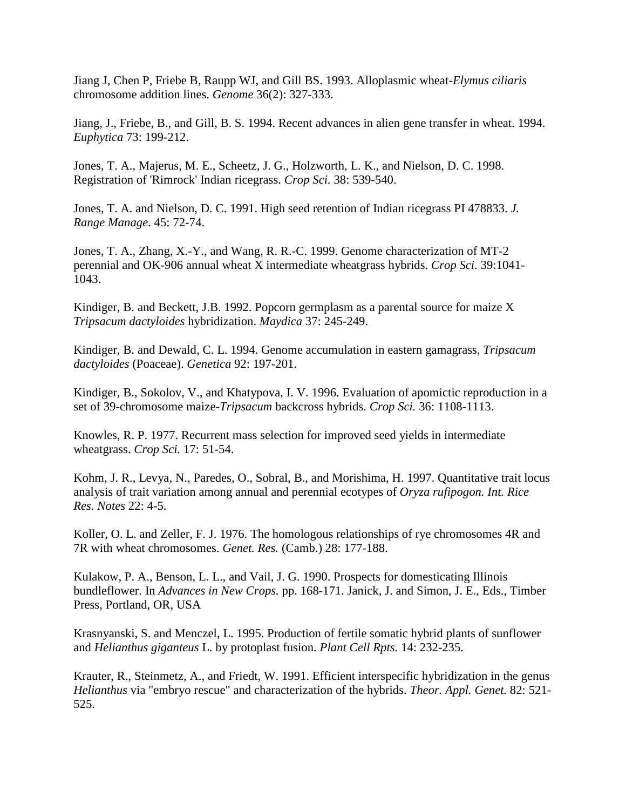Jiang J, Chen P, Friebe B, Raupp WJ, and Gill BS. 1993. Alloplasmic wheat-*Elymus ciliaris* chromosome addition lines. *Genome* 36(2): 327-333.

Jiang, J., Friebe, B., and Gill, B. S. 1994. Recent advances in alien gene transfer in wheat. 1994. *Euphytica* 73: 199-212.

Jones, T. A., Majerus, M. E., Scheetz, J. G., Holzworth, L. K., and Nielson, D. C. 1998. Registration of 'Rimrock' Indian ricegrass. *Crop Sci.* 38: 539-540.

Jones, T. A. and Nielson, D. C. 1991. High seed retention of Indian ricegrass PI 478833. *J. Range Manage*. 45: 72-74.

Jones, T. A., Zhang, X.-Y., and Wang, R. R.-C. 1999. Genome characterization of MT-2 perennial and OK-906 annual wheat X intermediate wheatgrass hybrids. *Crop Sci.* 39:1041- 1043.

Kindiger, B. and Beckett, J.B. 1992. Popcorn germplasm as a parental source for maize X *Tripsacum dactyloides* hybridization. *Maydica* 37: 245-249.

Kindiger, B. and Dewald, C. L. 1994. Genome accumulation in eastern gamagrass, *Tripsacum dactyloides* (Poaceae). *Genetica* 92: 197-201.

Kindiger, B., Sokolov, V., and Khatypova, I. V. 1996. Evaluation of apomictic reproduction in a set of 39-chromosome maize-*Tripsacum* backcross hybrids. *Crop Sci.* 36: 1108-1113.

Knowles, R. P. 1977. Recurrent mass selection for improved seed yields in intermediate wheatgrass. *Crop Sci.* 17: 51-54.

Kohm, J. R., Levya, N., Paredes, O., Sobral, B., and Morishima, H. 1997. Quantitative trait locus analysis of trait variation among annual and perennial ecotypes of *Oryza rufipogon. Int. Rice Res. Notes* 22: 4-5.

Koller, O. L. and Zeller, F. J. 1976. The homologous relationships of rye chromosomes 4R and 7R with wheat chromosomes. *Genet. Res.* (Camb.) 28: 177-188.

Kulakow, P. A., Benson, L. L., and Vail, J. G. 1990. Prospects for domesticating Illinois bundleflower. In *Advances in New Crops.* pp. 168-171. Janick, J. and Simon, J. E., Eds., Timber Press, Portland, OR, USA

Krasnyanski, S. and Menczel, L. 1995. Production of fertile somatic hybrid plants of sunflower and *Helianthus giganteus* L. by protoplast fusion. *Plant Cell Rpts.* 14: 232-235.

Krauter, R., Steinmetz, A., and Friedt, W. 1991. Efficient interspecific hybridization in the genus *Helianthus* via "embryo rescue" and characterization of the hybrids. *Theor. Appl. Genet.* 82: 521- 525.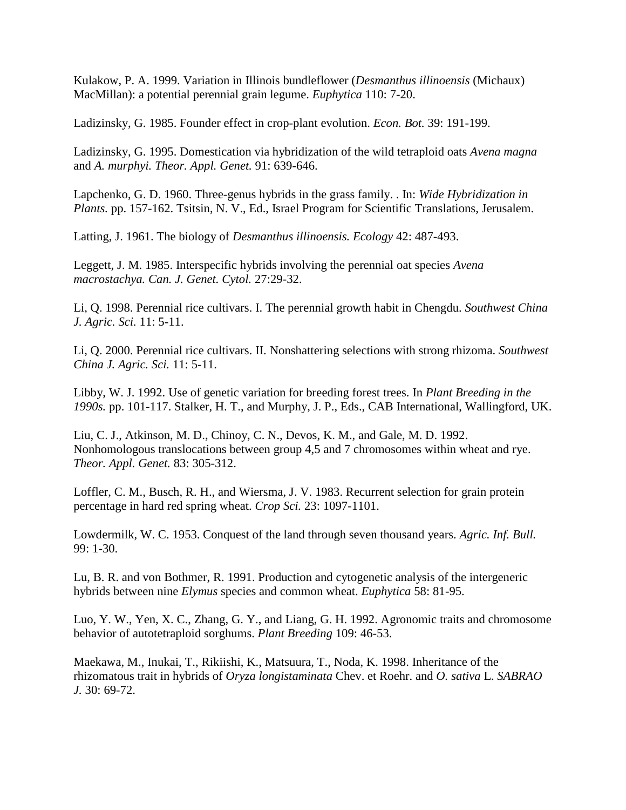Kulakow, P. A. 1999. Variation in Illinois bundleflower (*Desmanthus illinoensis* (Michaux) MacMillan): a potential perennial grain legume. *Euphytica* 110: 7-20.

Ladizinsky, G. 1985. Founder effect in crop-plant evolution. *Econ. Bot.* 39: 191-199.

Ladizinsky, G. 1995. Domestication via hybridization of the wild tetraploid oats *Avena magna* and *A. murphyi. Theor. Appl. Genet.* 91: 639-646.

Lapchenko, G. D. 1960. Three-genus hybrids in the grass family. . In: *Wide Hybridization in Plants.* pp. 157-162. Tsitsin, N. V., Ed., Israel Program for Scientific Translations, Jerusalem.

Latting, J. 1961. The biology of *Desmanthus illinoensis. Ecology* 42: 487-493.

Leggett, J. M. 1985. Interspecific hybrids involving the perennial oat species *Avena macrostachya. Can. J. Genet. Cytol.* 27:29-32.

Li, Q. 1998. Perennial rice cultivars. I. The perennial growth habit in Chengdu. *Southwest China J. Agric. Sci.* 11: 5-11.

Li, Q. 2000. Perennial rice cultivars. II. Nonshattering selections with strong rhizoma. *Southwest China J. Agric. Sci.* 11: 5-11.

Libby, W. J. 1992. Use of genetic variation for breeding forest trees. In *Plant Breeding in the 1990s.* pp. 101-117. Stalker, H. T., and Murphy, J. P., Eds., CAB International, Wallingford, UK.

Liu, C. J., Atkinson, M. D., Chinoy, C. N., Devos, K. M., and Gale, M. D. 1992. Nonhomologous translocations between group 4,5 and 7 chromosomes within wheat and rye. *Theor. Appl. Genet.* 83: 305-312.

Loffler, C. M., Busch, R. H., and Wiersma, J. V. 1983. Recurrent selection for grain protein percentage in hard red spring wheat. *Crop Sci.* 23: 1097-1101.

Lowdermilk, W. C. 1953. Conquest of the land through seven thousand years. *Agric. Inf. Bull.* 99: 1-30.

Lu, B. R. and von Bothmer, R. 1991. Production and cytogenetic analysis of the intergeneric hybrids between nine *Elymus* species and common wheat. *Euphytica* 58: 81-95.

Luo, Y. W., Yen, X. C., Zhang, G. Y., and Liang, G. H. 1992. Agronomic traits and chromosome behavior of autotetraploid sorghums. *Plant Breeding* 109: 46-53.

Maekawa, M., Inukai, T., Rikiishi, K., Matsuura, T., Noda, K. 1998. Inheritance of the rhizomatous trait in hybrids of *Oryza longistaminata* Chev. et Roehr. and *O. sativa* L. *SABRAO J.* 30: 69-72.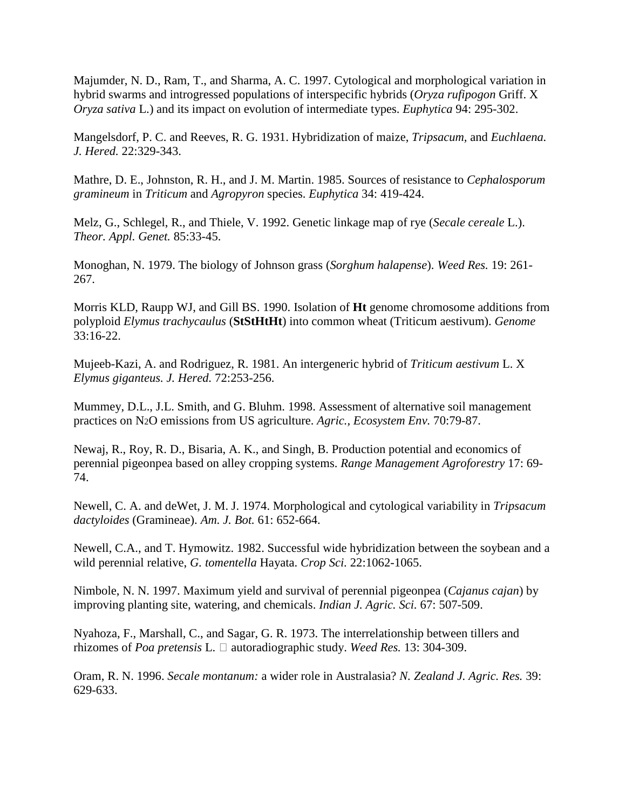Majumder, N. D., Ram, T., and Sharma, A. C. 1997. Cytological and morphological variation in hybrid swarms and introgressed populations of interspecific hybrids (*Oryza rufipogon* Griff. X *Oryza sativa* L.) and its impact on evolution of intermediate types. *Euphytica* 94: 295-302.

Mangelsdorf, P. C. and Reeves, R. G. 1931. Hybridization of maize, *Tripsacum,* and *Euchlaena. J. Hered.* 22:329-343.

Mathre, D. E., Johnston, R. H., and J. M. Martin. 1985. Sources of resistance to *Cephalosporum gramineum* in *Triticum* and *Agropyron* species. *Euphytica* 34: 419-424.

Melz, G., Schlegel, R., and Thiele, V. 1992. Genetic linkage map of rye (*Secale cereale* L.). *Theor. Appl. Genet.* 85:33-45.

Monoghan, N. 1979. The biology of Johnson grass (*Sorghum halapense*). *Weed Res.* 19: 261- 267.

Morris KLD, Raupp WJ, and Gill BS. 1990. Isolation of **Ht** genome chromosome additions from polyploid *Elymus trachycaulus* (**StStHtHt**) into common wheat (Triticum aestivum). *Genome* 33:16-22.

Mujeeb-Kazi, A. and Rodriguez, R. 1981. An intergeneric hybrid of *Triticum aestivum* L. X *Elymus giganteus. J. Hered.* 72:253-256.

Mummey, D.L., J.L. Smith, and G. Bluhm. 1998. Assessment of alternative soil management practices on N2O emissions from US agriculture. *Agric., Ecosystem Env.* 70:79-87.

Newaj, R., Roy, R. D., Bisaria, A. K., and Singh, B. Production potential and economics of perennial pigeonpea based on alley cropping systems. *Range Management Agroforestry* 17: 69- 74.

Newell, C. A. and deWet, J. M. J. 1974. Morphological and cytological variability in *Tripsacum dactyloides* (Gramineae). *Am. J. Bot.* 61: 652-664.

Newell, C.A., and T. Hymowitz. 1982. Successful wide hybridization between the soybean and a wild perennial relative, *G. tomentella* Hayata. *Crop Sci.* 22:1062-1065.

Nimbole, N. N. 1997. Maximum yield and survival of perennial pigeonpea (*Cajanus cajan*) by improving planting site, watering, and chemicals. *Indian J. Agric. Sci.* 67: 507-509.

Nyahoza, F., Marshall, C., and Sagar, G. R. 1973. The interrelationship between tillers and rhizomes of *Poa pretensis* L.  $\Box$  autoradiographic study. *Weed Res.* 13: 304-309.

Oram, R. N. 1996. *Secale montanum:* a wider role in Australasia? *N. Zealand J. Agric. Res.* 39: 629-633.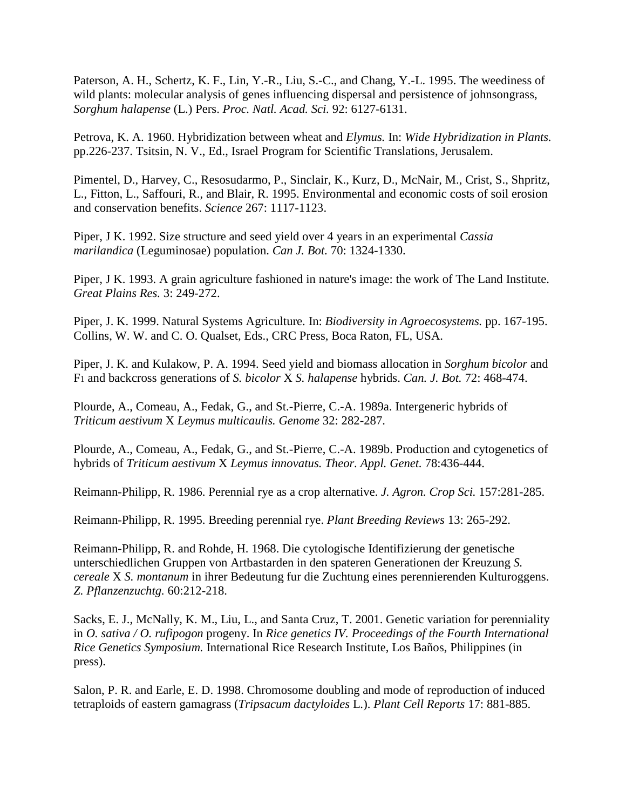Paterson, A. H., Schertz, K. F., Lin, Y.-R., Liu, S.-C., and Chang, Y.-L. 1995. The weediness of wild plants: molecular analysis of genes influencing dispersal and persistence of johnsongrass, *Sorghum halapense* (L.) Pers. *Proc. Natl. Acad. Sci.* 92: 6127-6131.

Petrova, K. A. 1960. Hybridization between wheat and *Elymus.* In: *Wide Hybridization in Plants.* pp.226-237. Tsitsin, N. V., Ed., Israel Program for Scientific Translations, Jerusalem.

Pimentel, D., Harvey, C., Resosudarmo, P., Sinclair, K., Kurz, D., McNair, M., Crist, S., Shpritz, L., Fitton, L., Saffouri, R., and Blair, R. 1995. Environmental and economic costs of soil erosion and conservation benefits. *Science* 267: 1117-1123.

Piper, J K. 1992. Size structure and seed yield over 4 years in an experimental *Cassia marilandica* (Leguminosae) population. *Can J. Bot.* 70: 1324-1330.

Piper, J K. 1993. A grain agriculture fashioned in nature's image: the work of The Land Institute. *Great Plains Res.* 3: 249-272.

Piper, J. K. 1999. Natural Systems Agriculture. In: *Biodiversity in Agroecosystems.* pp. 167-195. Collins, W. W. and C. O. Qualset, Eds., CRC Press, Boca Raton, FL, USA.

Piper, J. K. and Kulakow, P. A. 1994. Seed yield and biomass allocation in *Sorghum bicolor* and F1 and backcross generations of *S. bicolor* X *S. halapense* hybrids. *Can. J. Bot.* 72: 468-474.

Plourde, A., Comeau, A., Fedak, G., and St.-Pierre, C.-A. 1989a. Intergeneric hybrids of *Triticum aestivum* X *Leymus multicaulis. Genome* 32: 282-287.

Plourde, A., Comeau, A., Fedak, G., and St.-Pierre, C.-A. 1989b. Production and cytogenetics of hybrids of *Triticum aestivum* X *Leymus innovatus. Theor. Appl. Genet.* 78:436-444.

Reimann-Philipp, R. 1986. Perennial rye as a crop alternative. *J. Agron. Crop Sci.* 157:281-285.

Reimann-Philipp, R. 1995. Breeding perennial rye. *Plant Breeding Reviews* 13: 265-292.

Reimann-Philipp, R. and Rohde, H. 1968. Die cytologische Identifizierung der genetische unterschiedlichen Gruppen von Artbastarden in den spateren Generationen der Kreuzung *S. cereale* X *S. montanum* in ihrer Bedeutung fur die Zuchtung eines perennierenden Kulturoggens. *Z. Pflanzenzuchtg.* 60:212-218.

Sacks, E. J., McNally, K. M., Liu, L., and Santa Cruz, T. 2001. Genetic variation for perenniality in *O. sativa / O. rufipogon* progeny. In *Rice genetics IV. Proceedings of the Fourth International Rice Genetics Symposium.* International Rice Research Institute, Los Baños, Philippines (in press).

Salon, P. R. and Earle, E. D. 1998. Chromosome doubling and mode of reproduction of induced tetraploids of eastern gamagrass (*Tripsacum dactyloides* L.). *Plant Cell Reports* 17: 881-885.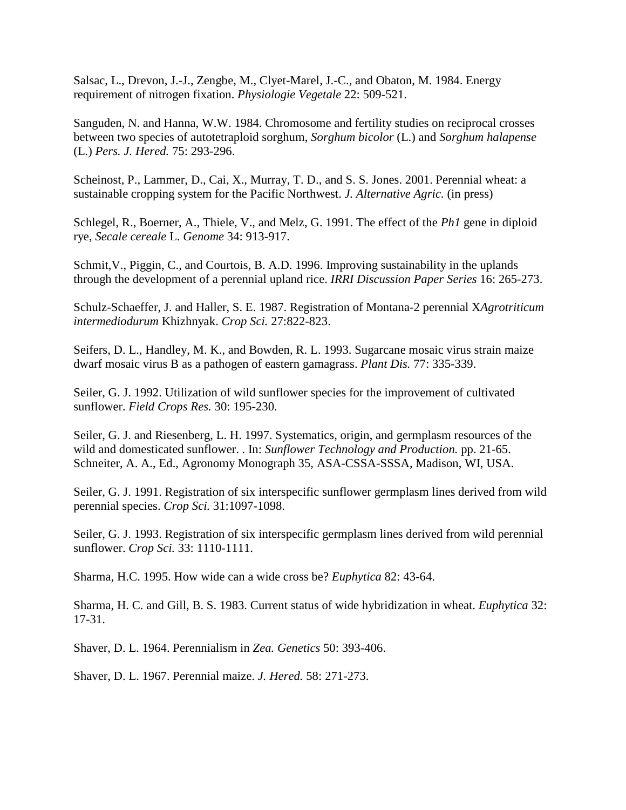Salsac, L., Drevon, J.-J., Zengbe, M., Clyet-Marel, J.-C., and Obaton, M. 1984. Energy requirement of nitrogen fixation. *Physiologie Vegetale* 22: 509-521.

Sanguden, N. and Hanna, W.W. 1984. Chromosome and fertility studies on reciprocal crosses between two species of autotetraploid sorghum, *Sorghum bicolor* (L.) and *Sorghum halapense* (L.) *Pers. J. Hered.* 75: 293-296.

Scheinost, P., Lammer, D., Cai, X., Murray, T. D., and S. S. Jones. 2001. Perennial wheat: a sustainable cropping system for the Pacific Northwest. *J. Alternative Agric.* (in press)

Schlegel, R., Boerner, A., Thiele, V., and Melz, G. 1991. The effect of the *Ph1* gene in diploid rye, *Secale cereale* L. *Genome* 34: 913-917.

Schmit,V., Piggin, C., and Courtois, B. A.D. 1996. Improving sustainability in the uplands through the development of a perennial upland rice. *IRRI Discussion Paper Series* 16: 265-273.

Schulz-Schaeffer, J. and Haller, S. E. 1987. Registration of Montana-2 perennial X*Agrotriticum intermediodurum* Khizhnyak. *Crop Sci.* 27:822-823.

Seifers, D. L., Handley, M. K., and Bowden, R. L. 1993. Sugarcane mosaic virus strain maize dwarf mosaic virus B as a pathogen of eastern gamagrass. *Plant Dis.* 77: 335-339.

Seiler, G. J. 1992. Utilization of wild sunflower species for the improvement of cultivated sunflower. *Field Crops Res.* 30: 195-230.

Seiler, G. J. and Riesenberg, L. H. 1997. Systematics, origin, and germplasm resources of the wild and domesticated sunflower. . In: *Sunflower Technology and Production.* pp. 21-65. Schneiter, A. A., Ed., Agronomy Monograph 35, ASA-CSSA-SSSA, Madison, WI, USA.

Seiler, G. J. 1991. Registration of six interspecific sunflower germplasm lines derived from wild perennial species. *Crop Sci.* 31:1097-1098.

Seiler, G. J. 1993. Registration of six interspecific germplasm lines derived from wild perennial sunflower. *Crop Sci.* 33: 1110-1111.

Sharma, H.C. 1995. How wide can a wide cross be? *Euphytica* 82: 43-64.

Sharma, H. C. and Gill, B. S. 1983. Current status of wide hybridization in wheat. *Euphytica* 32: 17-31.

Shaver, D. L. 1964. Perennialism in *Zea. Genetics* 50: 393-406.

Shaver, D. L. 1967. Perennial maize. *J. Hered.* 58: 271-273.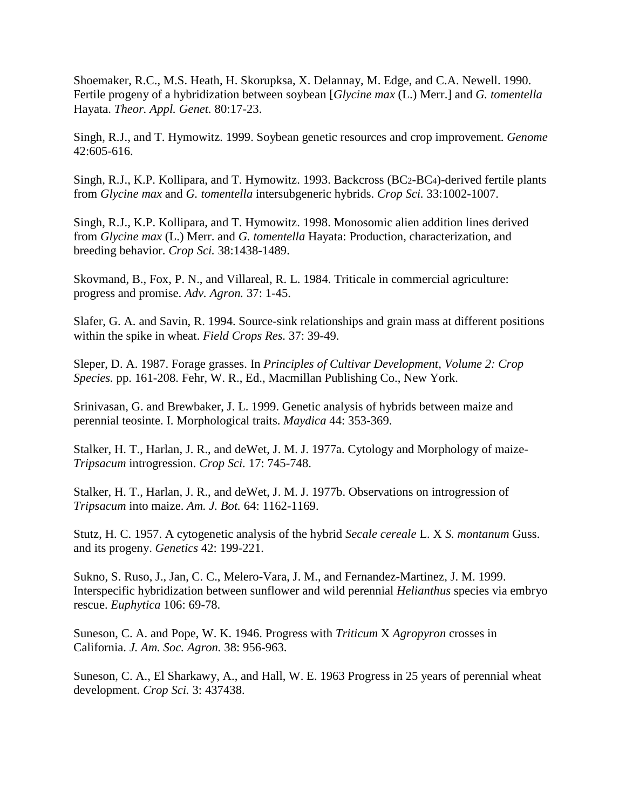Shoemaker, R.C., M.S. Heath, H. Skorupksa, X. Delannay, M. Edge, and C.A. Newell. 1990. Fertile progeny of a hybridization between soybean [*Glycine max* (L.) Merr.] and *G. tomentella* Hayata. *Theor. Appl. Genet.* 80:17-23.

Singh, R.J., and T. Hymowitz. 1999. Soybean genetic resources and crop improvement. *Genome* 42:605-616.

Singh, R.J., K.P. Kollipara, and T. Hymowitz. 1993. Backcross (BC2-BC4)-derived fertile plants from *Glycine max* and *G. tomentella* intersubgeneric hybrids. *Crop Sci.* 33:1002-1007.

Singh, R.J., K.P. Kollipara, and T. Hymowitz. 1998. Monosomic alien addition lines derived from *Glycine max* (L.) Merr. and *G. tomentella* Hayata: Production, characterization, and breeding behavior. *Crop Sci.* 38:1438-1489.

Skovmand, B., Fox, P. N., and Villareal, R. L. 1984. Triticale in commercial agriculture: progress and promise. *Adv. Agron.* 37: 1-45.

Slafer, G. A. and Savin, R. 1994. Source-sink relationships and grain mass at different positions within the spike in wheat. *Field Crops Res.* 37: 39-49.

Sleper, D. A. 1987. Forage grasses. In *Principles of Cultivar Development, Volume 2: Crop Species.* pp. 161-208. Fehr, W. R., Ed., Macmillan Publishing Co., New York.

Srinivasan, G. and Brewbaker, J. L. 1999. Genetic analysis of hybrids between maize and perennial teosinte. I. Morphological traits. *Maydica* 44: 353-369.

Stalker, H. T., Harlan, J. R., and deWet, J. M. J. 1977a. Cytology and Morphology of maize-*Tripsacum* introgression. *Crop Sci.* 17: 745-748.

Stalker, H. T., Harlan, J. R., and deWet, J. M. J. 1977b. Observations on introgression of *Tripsacum* into maize. *Am. J. Bot.* 64: 1162-1169.

Stutz, H. C. 1957. A cytogenetic analysis of the hybrid *Secale cereale* L. X *S. montanum* Guss. and its progeny. *Genetics* 42: 199-221.

Sukno, S. Ruso, J., Jan, C. C., Melero-Vara, J. M., and Fernandez-Martinez, J. M. 1999. Interspecific hybridization between sunflower and wild perennial *Helianthus* species via embryo rescue. *Euphytica* 106: 69-78.

Suneson, C. A. and Pope, W. K. 1946. Progress with *Triticum* X *Agropyron* crosses in California. *J. Am. Soc. Agron.* 38: 956-963.

Suneson, C. A., El Sharkawy, A., and Hall, W. E. 1963 Progress in 25 years of perennial wheat development. *Crop Sci.* 3: 437438.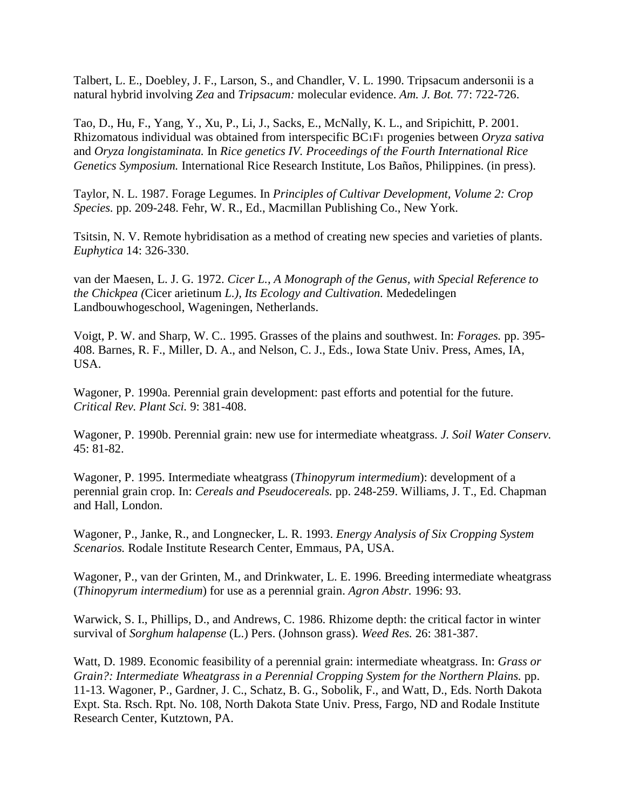Talbert, L. E., Doebley, J. F., Larson, S., and Chandler, V. L. 1990. Tripsacum andersonii is a natural hybrid involving *Zea* and *Tripsacum:* molecular evidence. *Am. J. Bot.* 77: 722-726.

Tao, D., Hu, F., Yang, Y., Xu, P., Li, J., Sacks, E., McNally, K. L., and Sripichitt, P. 2001. Rhizomatous individual was obtained from interspecific BC1F1 progenies between *Oryza sativa* and *Oryza longistaminata.* In *Rice genetics IV. Proceedings of the Fourth International Rice Genetics Symposium.* International Rice Research Institute, Los Baños, Philippines. (in press).

Taylor, N. L. 1987. Forage Legumes. In *Principles of Cultivar Development, Volume 2: Crop Species.* pp. 209-248. Fehr, W. R., Ed., Macmillan Publishing Co., New York.

Tsitsin, N. V. Remote hybridisation as a method of creating new species and varieties of plants. *Euphytica* 14: 326-330.

van der Maesen, L. J. G. 1972. *Cicer L., A Monograph of the Genus, with Special Reference to the Chickpea (*Cicer arietinum *L.), Its Ecology and Cultivation.* Mededelingen Landbouwhogeschool, Wageningen, Netherlands.

Voigt, P. W. and Sharp, W. C.. 1995. Grasses of the plains and southwest. In: *Forages.* pp. 395- 408. Barnes, R. F., Miller, D. A., and Nelson, C. J., Eds., Iowa State Univ. Press, Ames, IA, USA.

Wagoner, P. 1990a. Perennial grain development: past efforts and potential for the future. *Critical Rev. Plant Sci.* 9: 381-408.

Wagoner, P. 1990b. Perennial grain: new use for intermediate wheatgrass. *J. Soil Water Conserv.* 45: 81-82.

Wagoner, P. 1995. Intermediate wheatgrass (*Thinopyrum intermedium*): development of a perennial grain crop. In: *Cereals and Pseudocereals.* pp. 248-259. Williams, J. T., Ed. Chapman and Hall, London.

Wagoner, P., Janke, R., and Longnecker, L. R. 1993. *Energy Analysis of Six Cropping System Scenarios.* Rodale Institute Research Center, Emmaus, PA, USA.

Wagoner, P., van der Grinten, M., and Drinkwater, L. E. 1996. Breeding intermediate wheatgrass (*Thinopyrum intermedium*) for use as a perennial grain. *Agron Abstr.* 1996: 93.

Warwick, S. I., Phillips, D., and Andrews, C. 1986. Rhizome depth: the critical factor in winter survival of *Sorghum halapense* (L.) Pers. (Johnson grass). *Weed Res.* 26: 381-387.

Watt, D. 1989. Economic feasibility of a perennial grain: intermediate wheatgrass. In: *Grass or Grain?: Intermediate Wheatgrass in a Perennial Cropping System for the Northern Plains.* pp. 11-13. Wagoner, P., Gardner, J. C., Schatz, B. G., Sobolik, F., and Watt, D., Eds. North Dakota Expt. Sta. Rsch. Rpt. No. 108, North Dakota State Univ. Press, Fargo, ND and Rodale Institute Research Center, Kutztown, PA.